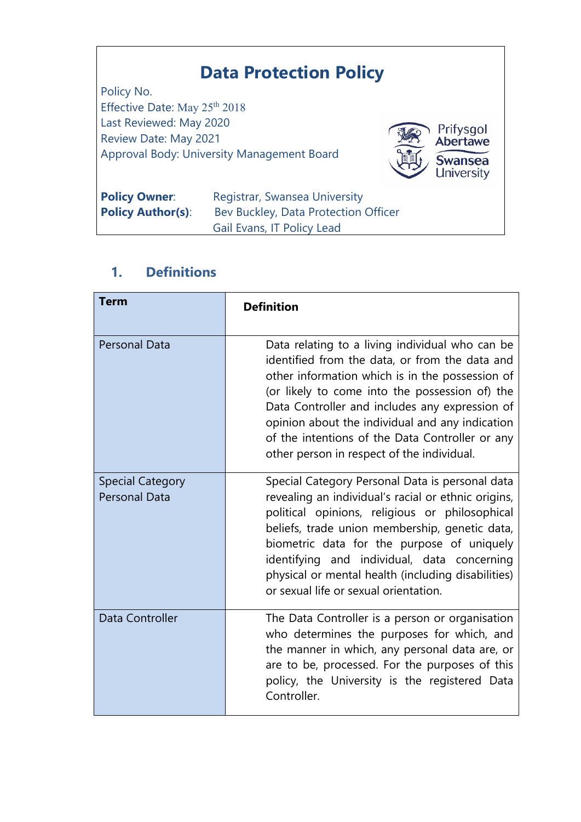# **Data Protection Policy**

Policy No. Effective Date: May 25<sup>th</sup> 2018 Last Reviewed: May 2020 Review Date: May 2021 Approval Body: University Management Board



| <b>Policy Owner:</b>     | Registrar, Swansea University        |
|--------------------------|--------------------------------------|
| <b>Policy Author(s):</b> | Bev Buckley, Data Protection Officer |
|                          | Gail Evans, IT Policy Lead           |

# **1. Definitions**

| <b>Term</b>                                     | <b>Definition</b>                                                                                                                                                                                                                                                                                                                                                                                            |
|-------------------------------------------------|--------------------------------------------------------------------------------------------------------------------------------------------------------------------------------------------------------------------------------------------------------------------------------------------------------------------------------------------------------------------------------------------------------------|
| <b>Personal Data</b>                            | Data relating to a living individual who can be<br>identified from the data, or from the data and<br>other information which is in the possession of<br>(or likely to come into the possession of) the<br>Data Controller and includes any expression of<br>opinion about the individual and any indication<br>of the intentions of the Data Controller or any<br>other person in respect of the individual. |
| <b>Special Category</b><br><b>Personal Data</b> | Special Category Personal Data is personal data<br>revealing an individual's racial or ethnic origins,<br>political opinions, religious or philosophical<br>beliefs, trade union membership, genetic data,<br>biometric data for the purpose of uniquely<br>identifying and individual, data concerning<br>physical or mental health (including disabilities)<br>or sexual life or sexual orientation.       |
| Data Controller                                 | The Data Controller is a person or organisation<br>who determines the purposes for which, and<br>the manner in which, any personal data are, or<br>are to be, processed. For the purposes of this<br>policy, the University is the registered Data<br>Controller.                                                                                                                                            |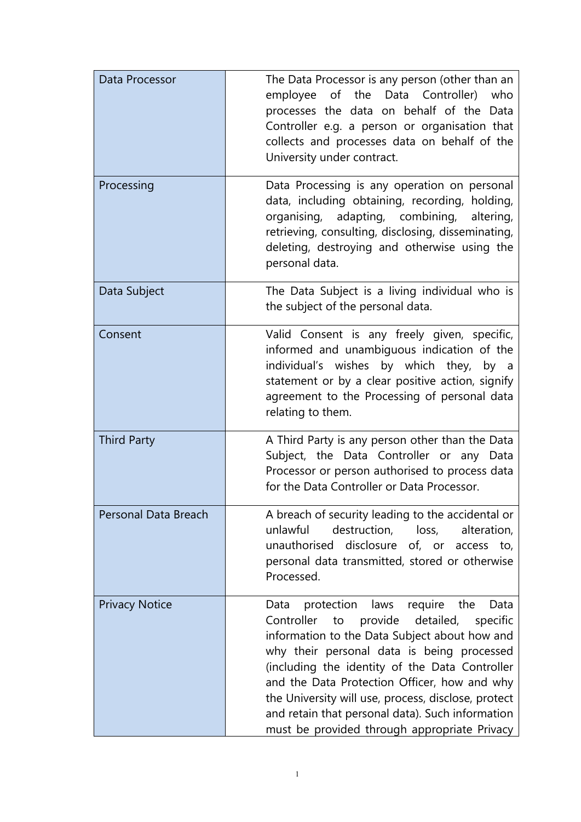| Data Processor        | The Data Processor is any person (other than an<br>employee of the Data Controller)<br>who<br>processes the data on behalf of the Data<br>Controller e.g. a person or organisation that<br>collects and processes data on behalf of the<br>University under contract.                                                                                                                                                                                                 |
|-----------------------|-----------------------------------------------------------------------------------------------------------------------------------------------------------------------------------------------------------------------------------------------------------------------------------------------------------------------------------------------------------------------------------------------------------------------------------------------------------------------|
| Processing            | Data Processing is any operation on personal<br>data, including obtaining, recording, holding,<br>organising, adapting, combining, altering,<br>retrieving, consulting, disclosing, disseminating,<br>deleting, destroying and otherwise using the<br>personal data.                                                                                                                                                                                                  |
| Data Subject          | The Data Subject is a living individual who is<br>the subject of the personal data.                                                                                                                                                                                                                                                                                                                                                                                   |
| Consent               | Valid Consent is any freely given, specific,<br>informed and unambiguous indication of the<br>individual's wishes by which they, by a<br>statement or by a clear positive action, signify<br>agreement to the Processing of personal data<br>relating to them.                                                                                                                                                                                                        |
| <b>Third Party</b>    | A Third Party is any person other than the Data<br>Subject, the Data Controller or any Data<br>Processor or person authorised to process data<br>for the Data Controller or Data Processor.                                                                                                                                                                                                                                                                           |
| Personal Data Breach  | A breach of security leading to the accidental or<br>unlawful<br>destruction,<br>loss,<br>alteration,<br>disclosure of, or access to,<br>unauthorised<br>personal data transmitted, stored or otherwise<br>Processed.                                                                                                                                                                                                                                                 |
| <b>Privacy Notice</b> | protection<br>laws<br>require<br>the<br>Data<br>Data<br>Controller<br>provide detailed,<br>to<br>specific<br>information to the Data Subject about how and<br>why their personal data is being processed<br>(including the identity of the Data Controller<br>and the Data Protection Officer, how and why<br>the University will use, process, disclose, protect<br>and retain that personal data). Such information<br>must be provided through appropriate Privacy |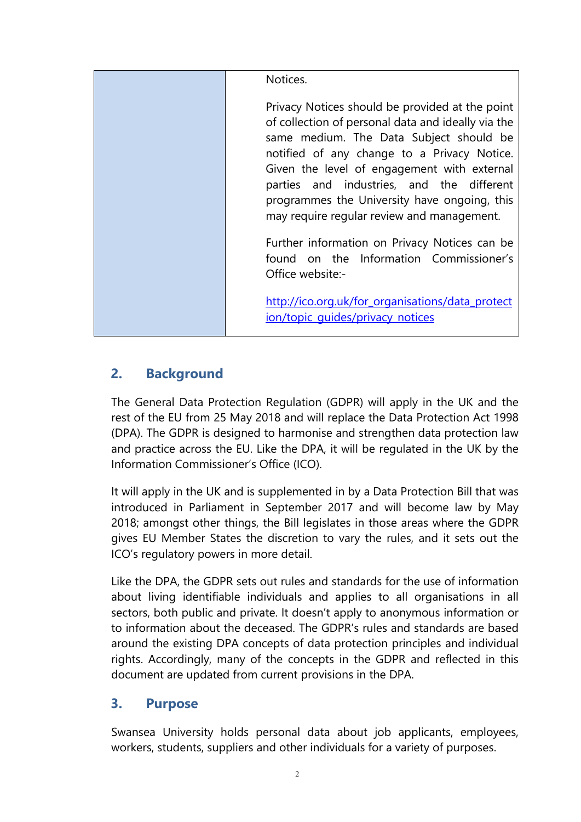| Notices.                                                                                                                                                                                                                                                                                                                                                                                  |
|-------------------------------------------------------------------------------------------------------------------------------------------------------------------------------------------------------------------------------------------------------------------------------------------------------------------------------------------------------------------------------------------|
| Privacy Notices should be provided at the point<br>of collection of personal data and ideally via the<br>same medium. The Data Subject should be<br>notified of any change to a Privacy Notice.<br>Given the level of engagement with external<br>parties and industries, and the different<br>programmes the University have ongoing, this<br>may require regular review and management. |
| Further information on Privacy Notices can be<br>found on the Information Commissioner's<br>Office website:-                                                                                                                                                                                                                                                                              |
| http://ico.org.uk/for_organisations/data_protect<br>ion/topic_guides/privacy_notices                                                                                                                                                                                                                                                                                                      |

### **2. Background**

The General Data Protection Regulation (GDPR) will apply in the UK and the rest of the EU from 25 May 2018 and will replace the Data Protection Act 1998 (DPA). The GDPR is designed to harmonise and strengthen data protection law and practice across the EU. Like the DPA, it will be regulated in the UK by the Information Commissioner's Office (ICO).

It will apply in the UK and is supplemented in by a Data Protection Bill that was introduced in Parliament in September 2017 and will become law by May 2018; amongst other things, the Bill legislates in those areas where the GDPR gives EU Member States the discretion to vary the rules, and it sets out the ICO's regulatory powers in more detail.

Like the DPA, the GDPR sets out rules and standards for the use of information about living identifiable individuals and applies to all organisations in all sectors, both public and private. It doesn't apply to anonymous information or to information about the deceased. The GDPR's rules and standards are based around the existing DPA concepts of data protection principles and individual rights. Accordingly, many of the concepts in the GDPR and reflected in this document are updated from current provisions in the DPA.

### **3. Purpose**

Swansea University holds personal data about job applicants, employees, workers, students, suppliers and other individuals for a variety of purposes.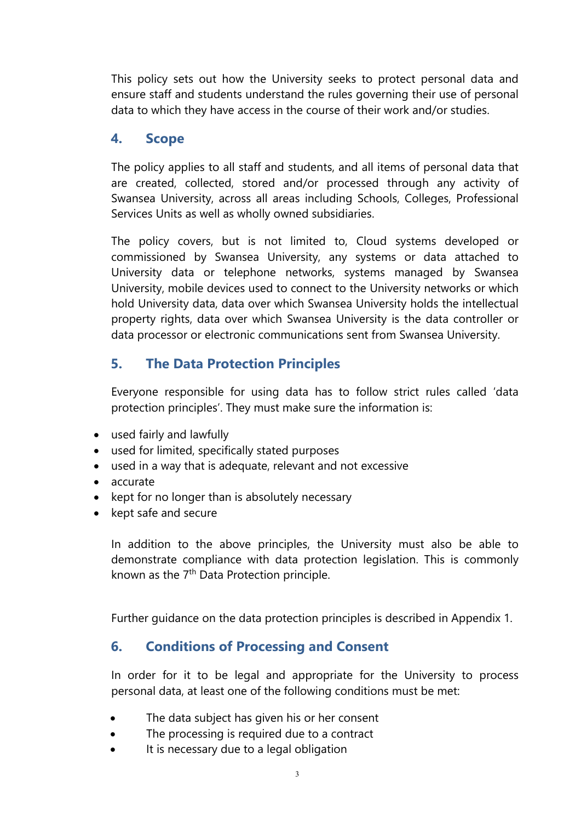This policy sets out how the University seeks to protect personal data and ensure staff and students understand the rules governing their use of personal data to which they have access in the course of their work and/or studies.

### **4. Scope**

The policy applies to all staff and students, and all items of personal data that are created, collected, stored and/or processed through any activity of Swansea University, across all areas including Schools, Colleges, Professional Services Units as well as wholly owned subsidiaries.

The policy covers, but is not limited to, Cloud systems developed or commissioned by Swansea University, any systems or data attached to University data or telephone networks, systems managed by Swansea University, mobile devices used to connect to the University networks or which hold University data, data over which Swansea University holds the intellectual property rights, data over which Swansea University is the data controller or data processor or electronic communications sent from Swansea University.

# **5. The Data Protection Principles**

Everyone responsible for using data has to follow strict rules called 'data protection principles'. They must make sure the information is:

- used fairly and lawfully
- used for limited, specifically stated purposes
- used in a way that is adequate, relevant and not excessive
- accurate
- kept for no longer than is absolutely necessary
- kept safe and secure

In addition to the above principles, the University must also be able to demonstrate compliance with data protection legislation. This is commonly known as the 7<sup>th</sup> Data Protection principle.

Further guidance on the data protection principles is described in Appendix 1.

### **6. Conditions of Processing and Consent**

In order for it to be legal and appropriate for the University to process personal data, at least one of the following conditions must be met:

- The data subject has given his or her consent
- The processing is required due to a contract
- It is necessary due to a legal obligation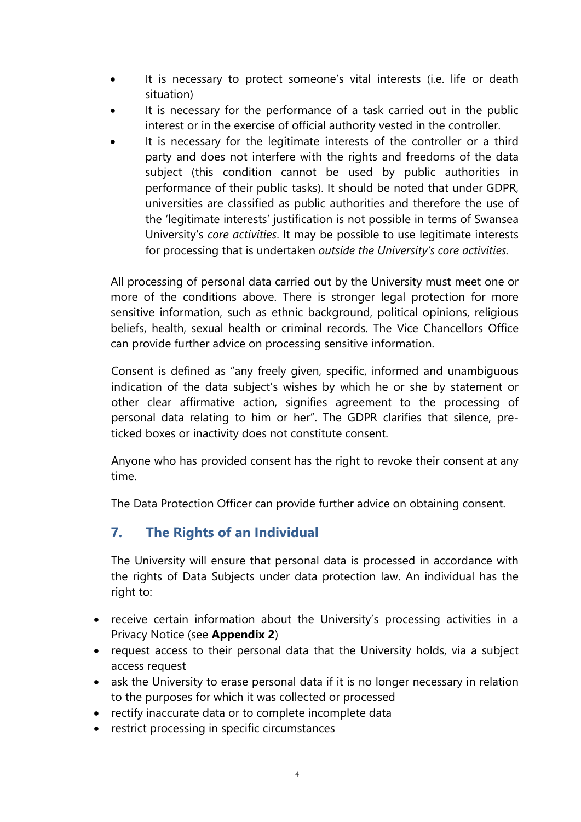- It is necessary to protect someone's vital interests (i.e. life or death situation)
- It is necessary for the performance of a task carried out in the public interest or in the exercise of official authority vested in the controller.
- It is necessary for the legitimate interests of the controller or a third party and does not interfere with the rights and freedoms of the data subject (this condition cannot be used by public authorities in performance of their public tasks). It should be noted that under GDPR, universities are classified as public authorities and therefore the use of the 'legitimate interests' justification is not possible in terms of Swansea University's *core activities*. It may be possible to use legitimate interests for processing that is undertaken *outside the University's core activities.*

All processing of personal data carried out by the University must meet one or more of the conditions above. There is stronger legal protection for more sensitive information, such as ethnic background, political opinions, religious beliefs, health, sexual health or criminal records. The Vice Chancellors Office can provide further advice on processing sensitive information.

Consent is defined as "any freely given, specific, informed and unambiguous indication of the data subject's wishes by which he or she by statement or other clear affirmative action, signifies agreement to the processing of personal data relating to him or her". The GDPR clarifies that silence, preticked boxes or inactivity does not constitute consent.

Anyone who has provided consent has the right to revoke their consent at any time.

The Data Protection Officer can provide further advice on obtaining consent.

# **7. The Rights of an Individual**

The University will ensure that personal data is processed in accordance with the rights of Data Subjects under data protection law. An individual has the right to:

- receive certain information about the University's processing activities in a Privacy Notice (see **Appendix 2**)
- request access to their personal data that the University holds, via a subject access request
- ask the University to erase personal data if it is no longer necessary in relation to the purposes for which it was collected or processed
- rectify inaccurate data or to complete incomplete data
- restrict processing in specific circumstances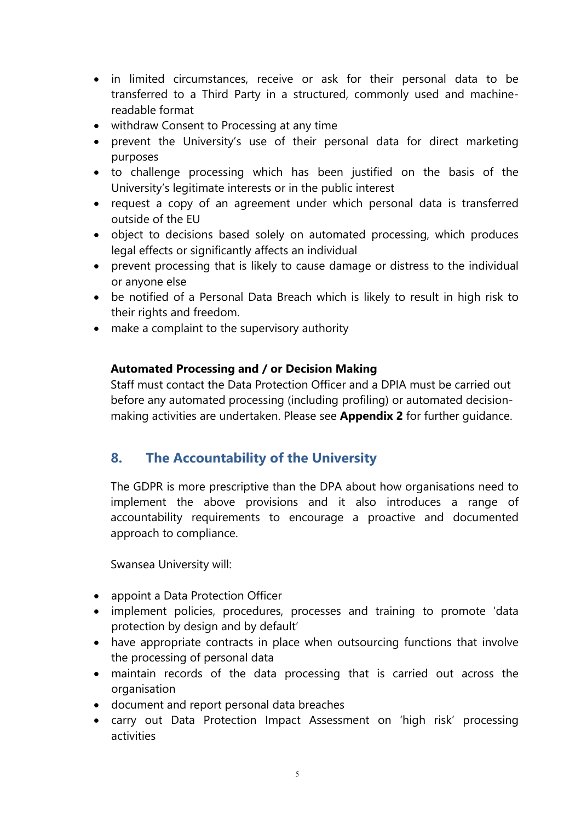- in limited circumstances, receive or ask for their personal data to be transferred to a Third Party in a structured, commonly used and machinereadable format
- withdraw Consent to Processing at any time
- prevent the University's use of their personal data for direct marketing purposes
- to challenge processing which has been justified on the basis of the University's legitimate interests or in the public interest
- request a copy of an agreement under which personal data is transferred outside of the EU
- object to decisions based solely on automated processing, which produces legal effects or significantly affects an individual
- prevent processing that is likely to cause damage or distress to the individual or anyone else
- be notified of a Personal Data Breach which is likely to result in high risk to their rights and freedom.
- make a complaint to the supervisory authority

#### **Automated Processing and / or Decision Making**

Staff must contact the Data Protection Officer and a DPIA must be carried out before any automated processing (including profiling) or automated decisionmaking activities are undertaken. Please see **Appendix 2** for further guidance.

### **8. The Accountability of the University**

The GDPR is more prescriptive than the DPA about how organisations need to implement the above provisions and it also introduces a range of accountability requirements to encourage a proactive and documented approach to compliance.

Swansea University will:

- appoint a Data Protection Officer
- implement policies, procedures, processes and training to promote 'data protection by design and by default'
- have appropriate contracts in place when outsourcing functions that involve the processing of personal data
- maintain records of the data processing that is carried out across the organisation
- document and report personal data breaches
- carry out Data Protection Impact Assessment on 'high risk' processing activities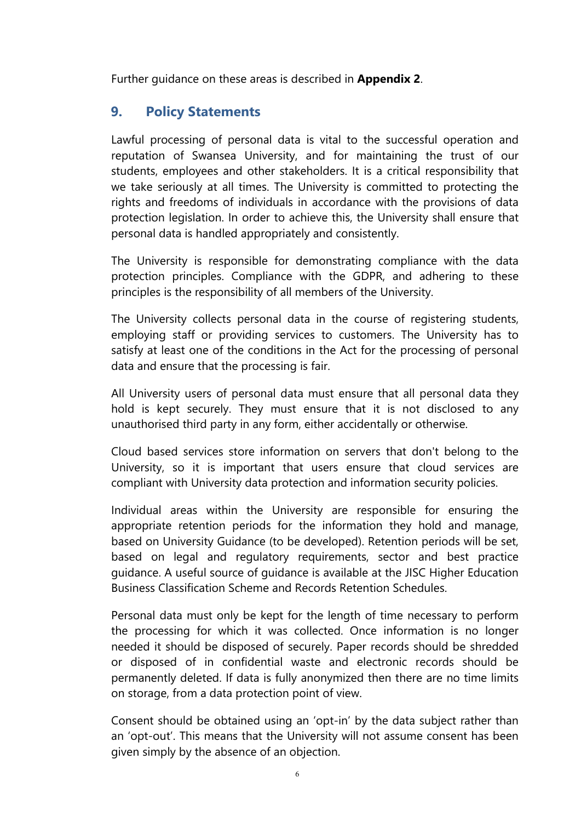Further guidance on these areas is described in **Appendix 2**.

### **9. Policy Statements**

<span id="page-6-0"></span>Lawful processing of personal data is vital to the successful operation and reputation of Swansea University, and for maintaining the trust of our students, employees and other stakeholders. It is a critical responsibility that we take seriously at all times. The University is committed to protecting the rights and freedoms of individuals in accordance with the provisions of data protection legislation. In order to achieve this, the University shall ensure that personal data is handled appropriately and consistently.

The University is responsible for demonstrating compliance with the data protection principles. Compliance with the GDPR, and adhering to these principles is the responsibility of all members of the University.

The University collects personal data in the course of registering students, employing staff or providing services to customers. The University has to satisfy at least one of the conditions in the Act for the processing of personal data and ensure that the processing is fair.

All University users of personal data must ensure that all personal data they hold is kept securely. They must ensure that it is not disclosed to any unauthorised third party in any form, either accidentally or otherwise.

Cloud based services store information on servers that don't belong to the University, so it is important that users ensure that cloud services are compliant with University data protection and information security policies.

Individual areas within the University are responsible for ensuring the appropriate retention periods for the information they hold and manage, based on University Guidance (to be developed). Retention periods will be set, based on legal and regulatory requirements, sector and best practice guidance. A useful source of guidance is available at the JISC Higher Education Business Classification Scheme and Records Retention Schedules.

Personal data must only be kept for the length of time necessary to perform the processing for which it was collected. Once information is no longer needed it should be disposed of securely. Paper records should be shredded or disposed of in confidential waste and electronic records should be permanently deleted. If data is fully anonymized then there are no time limits on storage, from a data protection point of view.

Consent should be obtained using an 'opt-in' by the data subject rather than an 'opt-out'. This means that the University will not assume consent has been given simply by the absence of an objection.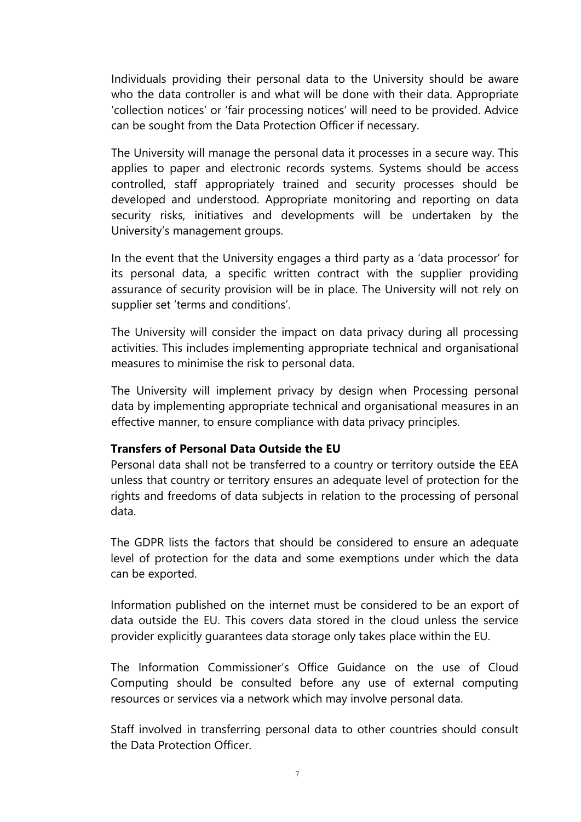Individuals providing their personal data to the University should be aware who the data controller is and what will be done with their data. Appropriate 'collection notices' or 'fair processing notices' will need to be provided. Advice can be sought from the Data Protection Officer if necessary.

The University will manage the personal data it processes in a secure way. This applies to paper and electronic records systems. Systems should be access controlled, staff appropriately trained and security processes should be developed and understood. Appropriate monitoring and reporting on data security risks, initiatives and developments will be undertaken by the University's management groups.

In the event that the University engages a third party as a 'data processor' for its personal data, a specific written contract with the supplier providing assurance of security provision will be in place. The University will not rely on supplier set 'terms and conditions'.

The University will consider the impact on data privacy during all processing activities. This includes implementing appropriate technical and organisational measures to minimise the risk to personal data.

The University will implement privacy by design when Processing personal data by implementing appropriate technical and organisational measures in an effective manner, to ensure compliance with data privacy principles.

#### **Transfers of Personal Data Outside the EU**

Personal data shall not be transferred to a country or territory outside the EEA unless that country or territory ensures an adequate level of protection for the rights and freedoms of data subjects in relation to the processing of personal data.

The GDPR lists the factors that should be considered to ensure an adequate level of protection for the data and some exemptions under which the data can be exported.

Information published on the internet must be considered to be an export of data outside the EU. This covers data stored in the cloud unless the service provider explicitly guarantees data storage only takes place within the EU.

The Information Commissioner's Office Guidance on the use of Cloud Computing should be consulted before any use of external computing resources or services via a network which may involve personal data.

Staff involved in transferring personal data to other countries should consult the Data Protection Officer.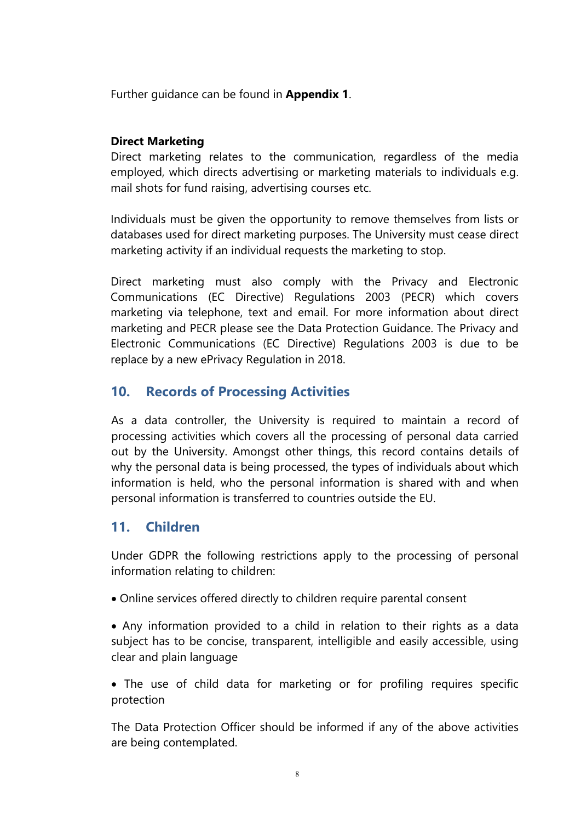Further guidance can be found in **Appendix 1**.

#### **Direct Marketing**

Direct marketing relates to the communication, regardless of the media employed, which directs advertising or marketing materials to individuals e.g. mail shots for fund raising, advertising courses etc.

Individuals must be given the opportunity to remove themselves from lists or databases used for direct marketing purposes. The University must cease direct marketing activity if an individual requests the marketing to stop.

Direct marketing must also comply with the Privacy and Electronic Communications (EC Directive) Regulations 2003 (PECR) which covers marketing via telephone, text and email. For more information about direct marketing and PECR please see the Data Protection Guidance. The Privacy and Electronic Communications (EC Directive) Regulations 2003 is due to be replace by a new ePrivacy Regulation in 2018.

### **10. Records of Processing Activities**

As a data controller, the University is required to maintain a record of processing activities which covers all the processing of personal data carried out by the University. Amongst other things, this record contains details of why the personal data is being processed, the types of individuals about which information is held, who the personal information is shared with and when personal information is transferred to countries outside the EU.

#### **11. Children**

Under GDPR the following restrictions apply to the processing of personal information relating to children:

- Online services offered directly to children require parental consent
- Any information provided to a child in relation to their rights as a data subject has to be concise, transparent, intelligible and easily accessible, using clear and plain language
- The use of child data for marketing or for profiling requires specific protection

The Data Protection Officer should be informed if any of the above activities are being contemplated.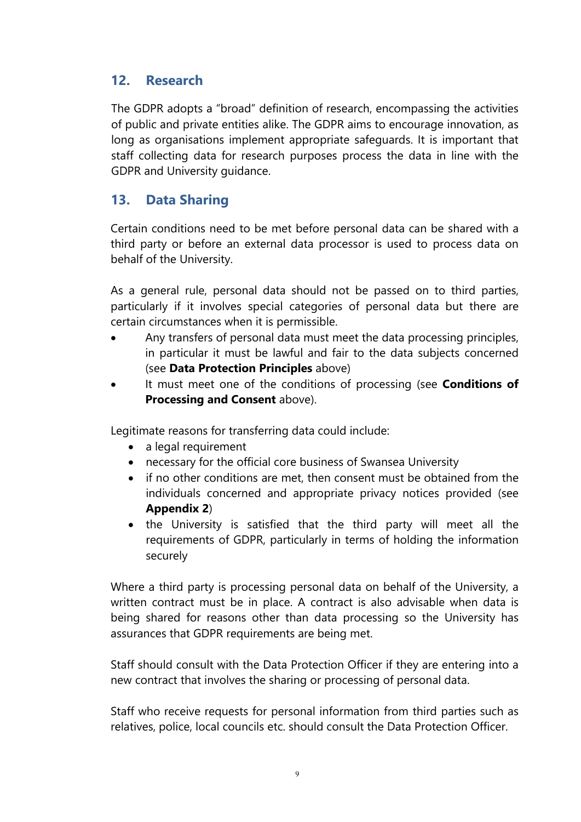### **12. Research**

The GDPR adopts a "broad" definition of research, encompassing the activities of public and private entities alike. The GDPR aims to encourage innovation, as long as organisations implement appropriate safeguards. It is important that staff collecting data for research purposes process the data in line with the GDPR and University guidance.

### **13. Data Sharing**

Certain conditions need to be met before personal data can be shared with a third party or before an external data processor is used to process data on behalf of the University.

As a general rule, personal data should not be passed on to third parties, particularly if it involves special categories of personal data but there are certain circumstances when it is permissible.

- Any transfers of personal data must meet the data processing principles, in particular it must be lawful and fair to the data subjects concerned (see **Data Protection Principles** above)
- It must meet one of the conditions of processing (see **Conditions of Processing and Consent** above).

Legitimate reasons for transferring data could include:

- a legal requirement
- necessary for the official core business of Swansea University
- if no other conditions are met, then consent must be obtained from the individuals concerned and appropriate privacy notices provided (see **Appendix 2**)
- the University is satisfied that the third party will meet all the requirements of GDPR, particularly in terms of holding the information securely

Where a third party is processing personal data on behalf of the University, a written contract must be in place. A contract is also advisable when data is being shared for reasons other than data processing so the University has assurances that GDPR requirements are being met.

Staff should consult with the Data Protection Officer if they are entering into a new contract that involves the sharing or processing of personal data.

Staff who receive requests for personal information from third parties such as relatives, police, local councils etc. should consult the Data Protection Officer.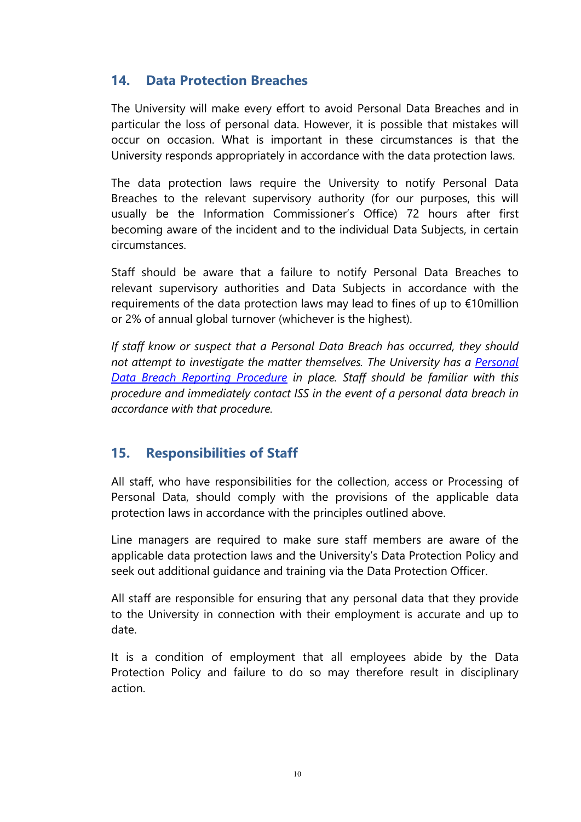### **14. Data Protection Breaches**

The University will make every effort to avoid Personal Data Breaches and in particular the loss of personal data. However, it is possible that mistakes will occur on occasion. What is important in these circumstances is that the University responds appropriately in accordance with the data protection laws.

The data protection laws require the University to notify Personal Data Breaches to the relevant supervisory authority (for our purposes, this will usually be the Information Commissioner's Office) 72 hours after first becoming aware of the incident and to the individual Data Subjects, in certain circumstances.

Staff should be aware that a failure to notify Personal Data Breaches to relevant supervisory authorities and Data Subjects in accordance with the requirements of the data protection laws may lead to fines of up to €10million or 2% of annual global turnover (whichever is the highest).

*If staff know or suspect that a Personal Data Breach has occurred, they should not attempt to investigate the matter themselves. The University has a [Personal](http://www.swansea.ac.uk/the-university/world-class/vicechancellorsoffice/compliance/dataprotection/personal%20data%20breach%20management/)  [Data Breach Reporting Procedure](http://www.swansea.ac.uk/the-university/world-class/vicechancellorsoffice/compliance/dataprotection/personal%20data%20breach%20management/) in place. Staff should be familiar with this procedure and immediately contact ISS in the event of a personal data breach in accordance with that procedure.* 

### **15. Responsibilities of Staff**

All staff, who have responsibilities for the collection, access or Processing of Personal Data, should comply with the provisions of the applicable data protection laws in accordance with the principles outlined [above.](#page-6-0)

Line managers are required to make sure staff members are aware of the applicable data protection laws and the University's Data Protection Policy and seek out additional guidance and training via the Data Protection Officer.

All staff are responsible for ensuring that any personal data that they provide to the University in connection with their employment is accurate and up to date.

It is a condition of employment that all employees abide by the Data Protection Policy and failure to do so may therefore result in disciplinary action.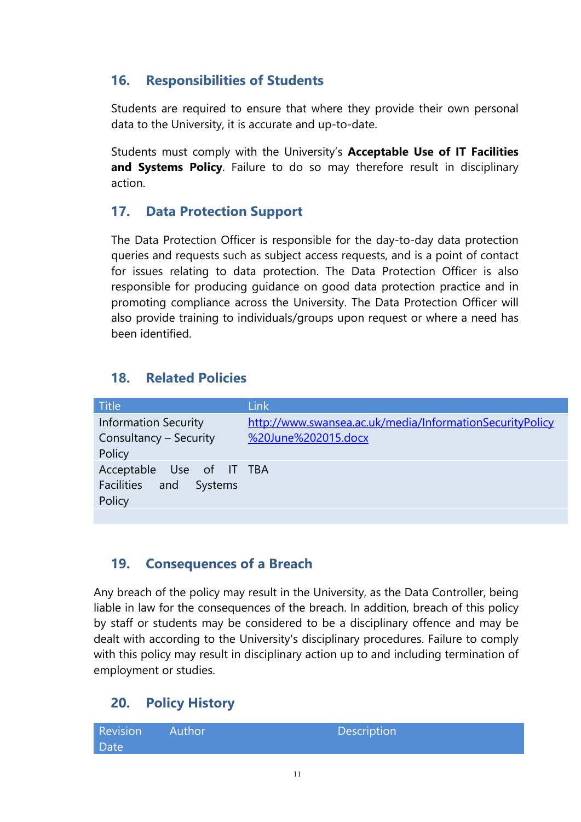### **16. Responsibilities of Students**

Students are required to ensure that where they provide their own personal data to the University, it is accurate and up-to-date.

Students must comply with the University's **Acceptable Use of IT Facilities and Systems Policy**. Failure to do so may therefore result in disciplinary action.

### **17. Data Protection Support**

The Data Protection Officer is responsible for the day-to-day data protection queries and requests such as subject access requests, and is a point of contact for issues relating to data protection. The Data Protection Officer is also responsible for producing guidance on good data protection practice and in promoting compliance across the University. The Data Protection Officer will also provide training to individuals/groups upon request or where a need has been identified.

### **18. Related Policies**

| <b>Title</b>                | <b>Link</b>                                              |
|-----------------------------|----------------------------------------------------------|
| <b>Information Security</b> | http://www.swansea.ac.uk/media/InformationSecurityPolicy |
| Consultancy - Security      | %20June%202015.docx                                      |
| Policy                      |                                                          |
| Acceptable Use of IT TBA    |                                                          |
| Facilities and Systems      |                                                          |
| Policy                      |                                                          |
|                             |                                                          |

### **19. Consequences of a Breach**

Any breach of the policy may result in the University, as the Data Controller, being liable in law for the consequences of the breach. In addition, breach of this policy by staff or students may be considered to be a disciplinary offence and may be dealt with according to the University's disciplinary procedures. Failure to comply with this policy may result in disciplinary action up to and including termination of employment or studies.

# **20. Policy History**

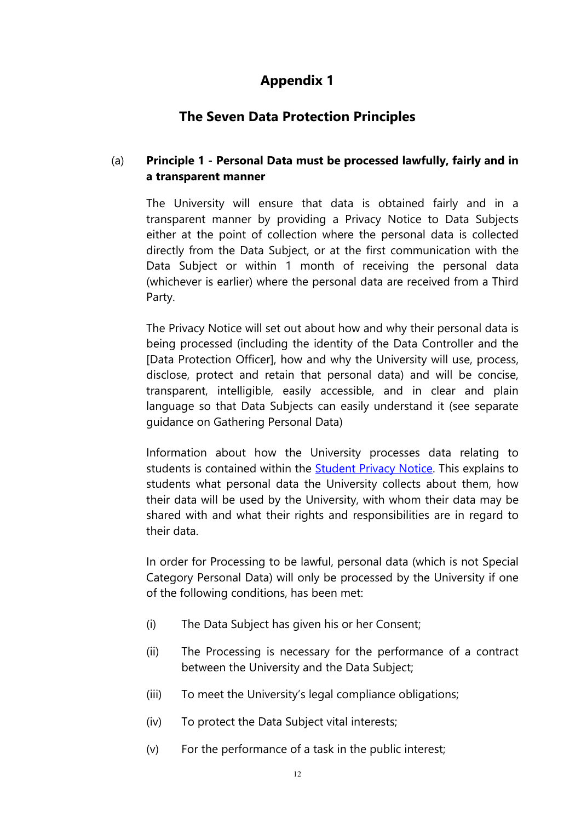# **Appendix 1**

### **The Seven Data Protection Principles**

#### (a) **Principle 1 - Personal Data must be processed lawfully, fairly and in a transparent manner**

The University will ensure that data is obtained fairly and in a transparent manner by providing a Privacy Notice to Data Subjects either at the point of collection where the personal data is collected directly from the Data Subject, or at the first communication with the Data Subject or within 1 month of receiving the personal data (whichever is earlier) where the personal data are received from a Third Party.

The Privacy Notice will set out about how and why their personal data is being processed (including the identity of the Data Controller and the [Data Protection Officer], how and why the University will use, process, disclose, protect and retain that personal data) and will be concise, transparent, intelligible, easily accessible, and in clear and plain language so that Data Subjects can easily understand it (see separate guidance on Gathering Personal Data)

Information about how the University processes data relating to students is contained within the **Student Privacy Notice**. This explains to students what personal data the University collects about them, how their data will be used by the University, with whom their data may be shared with and what their rights and responsibilities are in regard to their data.

In order for Processing to be lawful, personal data (which is not Special Category Personal Data) will only be processed by the University if one of the following conditions, has been met:

- (i) The Data Subject has given his or her Consent;
- (ii) The Processing is necessary for the performance of a contract between the University and the Data Subject;
- (iii) To meet the University's legal compliance obligations;
- (iv) To protect the Data Subject vital interests;
- (v) For the performance of a task in the public interest;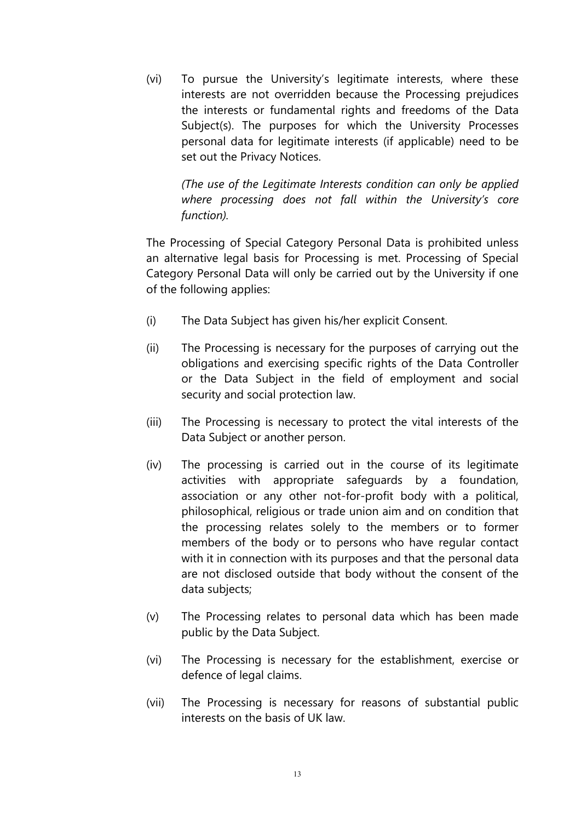(vi) To pursue the University's legitimate interests, where these interests are not overridden because the Processing prejudices the interests or fundamental rights and freedoms of the Data Subject(s). The purposes for which the University Processes personal data for legitimate interests (if applicable) need to be set out the Privacy Notices.

*(The use of the Legitimate Interests condition can only be applied where processing does not fall within the University's core function).*

The Processing of Special Category Personal Data is prohibited unless an alternative legal basis for Processing is met. Processing of Special Category Personal Data will only be carried out by the University if one of the following applies:

- (i) The Data Subject has given his/her explicit Consent.
- (ii) The Processing is necessary for the purposes of carrying out the obligations and exercising specific rights of the Data Controller or the Data Subject in the field of employment and social security and social protection law.
- (iii) The Processing is necessary to protect the vital interests of the Data Subject or another person.
- (iv) The processing is carried out in the course of its legitimate activities with appropriate safeguards by a foundation, association or any other not-for-profit body with a political, philosophical, religious or trade union aim and on condition that the processing relates solely to the members or to former members of the body or to persons who have regular contact with it in connection with its purposes and that the personal data are not disclosed outside that body without the consent of the data subjects;
- (v) The Processing relates to personal data which has been made public by the Data Subject.
- (vi) The Processing is necessary for the establishment, exercise or defence of legal claims.
- (vii) The Processing is necessary for reasons of substantial public interests on the basis of UK law.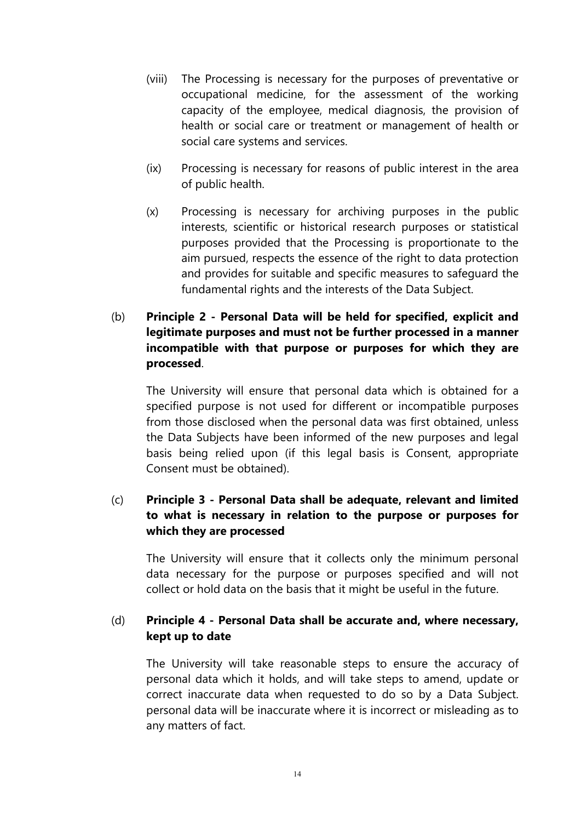- (viii) The Processing is necessary for the purposes of preventative or occupational medicine, for the assessment of the working capacity of the employee, medical diagnosis, the provision of health or social care or treatment or management of health or social care systems and services.
- (ix) Processing is necessary for reasons of public interest in the area of public health.
- (x) Processing is necessary for archiving purposes in the public interests, scientific or historical research purposes or statistical purposes provided that the Processing is proportionate to the aim pursued, respects the essence of the right to data protection and provides for suitable and specific measures to safeguard the fundamental rights and the interests of the Data Subject.
- (b) **Principle 2 - Personal Data will be held for specified, explicit and legitimate purposes and must not be further processed in a manner incompatible with that purpose or purposes for which they are processed**.

The University will ensure that personal data which is obtained for a specified purpose is not used for different or incompatible purposes from those disclosed when the personal data was first obtained, unless the Data Subjects have been informed of the new purposes and legal basis being relied upon (if this legal basis is Consent, appropriate Consent must be obtained).

#### (c) **Principle 3 - Personal Data shall be adequate, relevant and limited to what is necessary in relation to the purpose or purposes for which they are processed**

The University will ensure that it collects only the minimum personal data necessary for the purpose or purposes specified and will not collect or hold data on the basis that it might be useful in the future.

#### (d) **Principle 4 - Personal Data shall be accurate and, where necessary, kept up to date**

The University will take reasonable steps to ensure the accuracy of personal data which it holds, and will take steps to amend, update or correct inaccurate data when requested to do so by a Data Subject. personal data will be inaccurate where it is incorrect or misleading as to any matters of fact.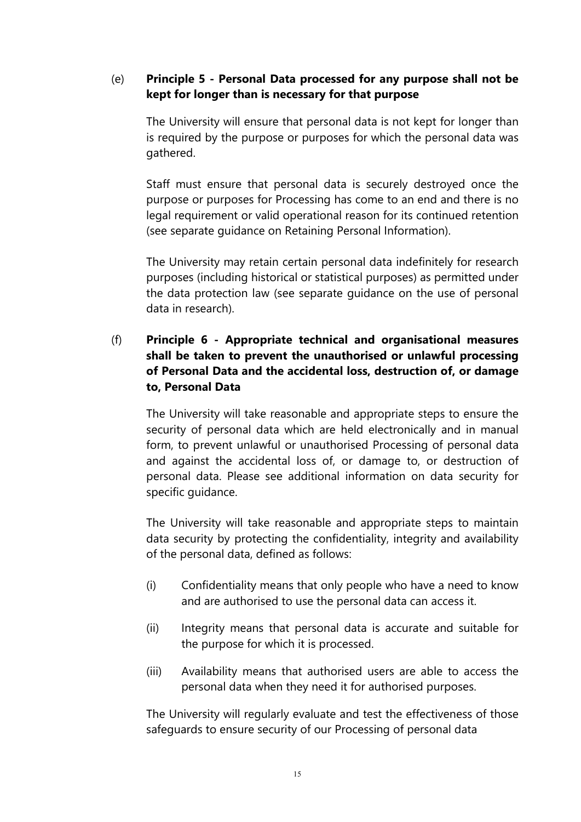#### (e) **Principle 5 - Personal Data processed for any purpose shall not be kept for longer than is necessary for that purpose**

The University will ensure that personal data is not kept for longer than is required by the purpose or purposes for which the personal data was gathered.

Staff must ensure that personal data is securely destroyed once the purpose or purposes for Processing has come to an end and there is no legal requirement or valid operational reason for its continued retention (see separate guidance on Retaining Personal Information).

The University may retain certain personal data indefinitely for research purposes (including historical or statistical purposes) as permitted under the data protection law (see separate guidance on the use of personal data in research).

#### (f) **Principle 6 - Appropriate technical and organisational measures shall be taken to prevent the unauthorised or unlawful processing of Personal Data and the accidental loss, destruction of, or damage to, Personal Data**

The University will take reasonable and appropriate steps to ensure the security of personal data which are held electronically and in manual form, to prevent unlawful or unauthorised Processing of personal data and against the accidental loss of, or damage to, or destruction of personal data. Please see additional information on data security for specific guidance.

The University will take reasonable and appropriate steps to maintain data security by protecting the confidentiality, integrity and availability of the personal data, defined as follows:

- (i) Confidentiality means that only people who have a need to know and are authorised to use the personal data can access it.
- (ii) Integrity means that personal data is accurate and suitable for the purpose for which it is processed.
- (iii) Availability means that authorised users are able to access the personal data when they need it for authorised purposes.

The University will regularly evaluate and test the effectiveness of those safeguards to ensure security of our Processing of personal data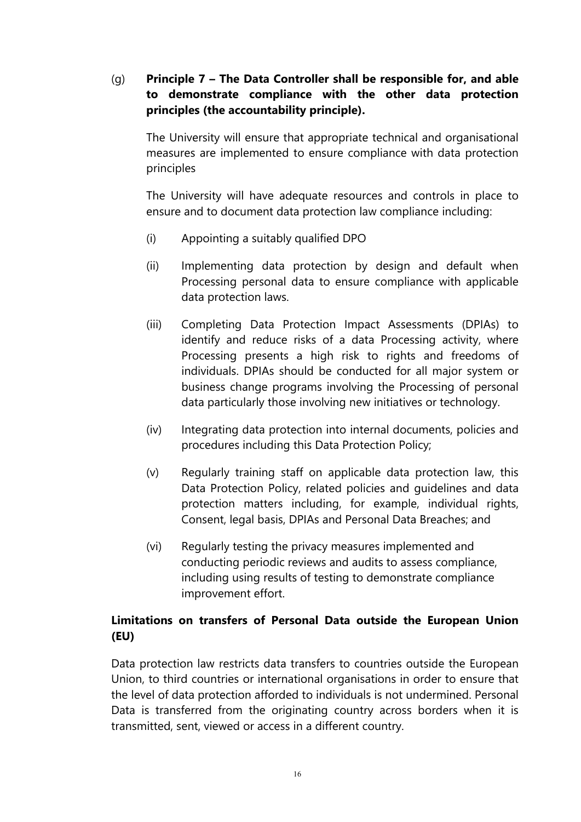#### (g) **Principle 7 – The Data Controller shall be responsible for, and able to demonstrate compliance with the other data protection principles (the accountability principle).**

The University will ensure that appropriate technical and organisational measures are implemented to ensure compliance with data protection principles

The University will have adequate resources and controls in place to ensure and to document data protection law compliance including:

- (i) Appointing a suitably qualified DPO
- (ii) Implementing data protection by design and default when Processing personal data to ensure compliance with applicable data protection laws.
- (iii) Completing Data Protection Impact Assessments (DPIAs) to identify and reduce risks of a data Processing activity, where Processing presents a high risk to rights and freedoms of individuals. DPIAs should be conducted for all major system or business change programs involving the Processing of personal data particularly those involving new initiatives or technology.
- (iv) Integrating data protection into internal documents, policies and procedures including this Data Protection Policy;
- (v) Regularly training staff on applicable data protection law, this Data Protection Policy, related policies and guidelines and data protection matters including, for example, individual rights, Consent, legal basis, DPIAs and Personal Data Breaches; and
- (vi) Regularly testing the privacy measures implemented and conducting periodic reviews and audits to assess compliance, including using results of testing to demonstrate compliance improvement effort.

### **Limitations on transfers of Personal Data outside the European Union (EU)**

Data protection law restricts data transfers to countries outside the European Union, to third countries or international organisations in order to ensure that the level of data protection afforded to individuals is not undermined. Personal Data is transferred from the originating country across borders when it is transmitted, sent, viewed or access in a different country.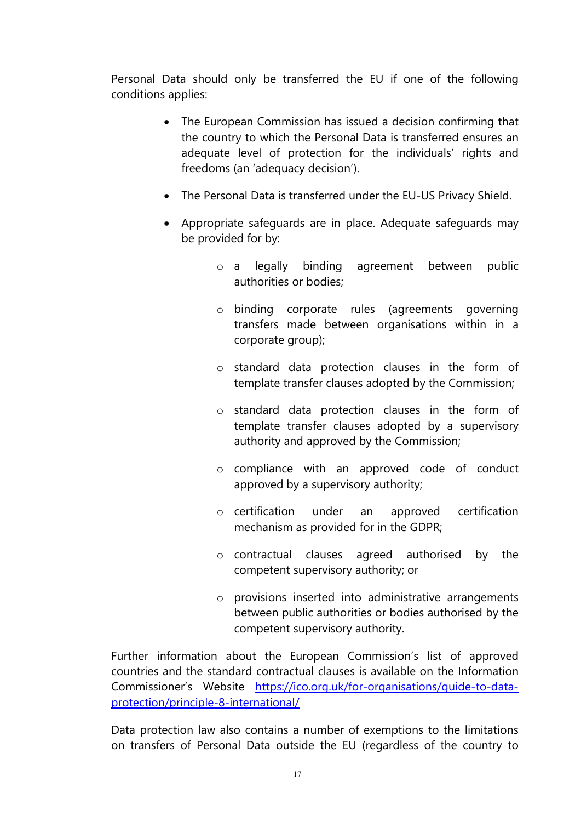Personal Data should only be transferred the EU if one of the following conditions applies:

- The European Commission has issued a decision confirming that the country to which the Personal Data is transferred ensures an adequate level of protection for the individuals' rights and freedoms (an 'adequacy decision').
- The Personal Data is transferred under the EU-US Privacy Shield.
- Appropriate safeguards are in place. Adequate safeguards may be provided for by:
	- o a legally binding agreement between public authorities or bodies;
	- o binding corporate rules (agreements governing transfers made between organisations within in a corporate group);
	- o standard data protection clauses in the form of template transfer clauses adopted by the Commission;
	- o standard data protection clauses in the form of template transfer clauses adopted by a supervisory authority and approved by the Commission;
	- o compliance with an approved code of conduct approved by a supervisory authority;
	- o certification under an approved certification mechanism as provided for in the GDPR;
	- o contractual clauses agreed authorised by the competent supervisory authority; or
	- o provisions inserted into administrative arrangements between public authorities or bodies authorised by the competent supervisory authority.

Further information about the European Commission's list of approved countries and the standard contractual clauses is available on the Information Commissioner's Website [https://ico.org.uk/for-organisations/guide-to-data](https://ico.org.uk/for-organisations/guide-to-data-protection/principle-8-international/)[protection/principle-8-international/](https://ico.org.uk/for-organisations/guide-to-data-protection/principle-8-international/)

Data protection law also contains a number of exemptions to the limitations on transfers of Personal Data outside the EU (regardless of the country to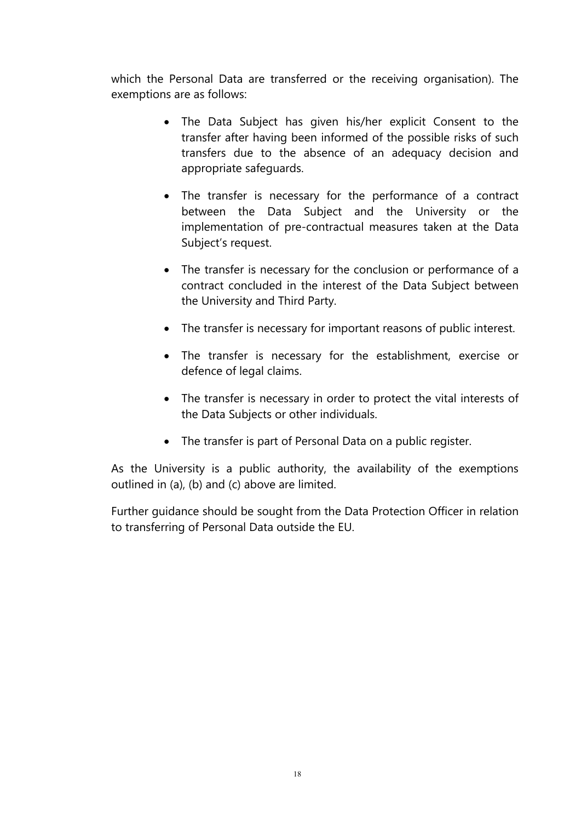which the Personal Data are transferred or the receiving organisation). The exemptions are as follows:

- The Data Subject has given his/her explicit Consent to the transfer after having been informed of the possible risks of such transfers due to the absence of an adequacy decision and appropriate safeguards.
- The transfer is necessary for the performance of a contract between the Data Subject and the University or the implementation of pre-contractual measures taken at the Data Subject's request.
- The transfer is necessary for the conclusion or performance of a contract concluded in the interest of the Data Subject between the University and Third Party.
- The transfer is necessary for important reasons of public interest.
- The transfer is necessary for the establishment, exercise or defence of legal claims.
- The transfer is necessary in order to protect the vital interests of the Data Subjects or other individuals.
- The transfer is part of Personal Data on a public register.

As the University is a public authority, the availability of the exemptions outlined in (a), (b) and (c) above are limited.

Further guidance should be sought from the Data Protection Officer in relation to transferring of Personal Data outside the EU.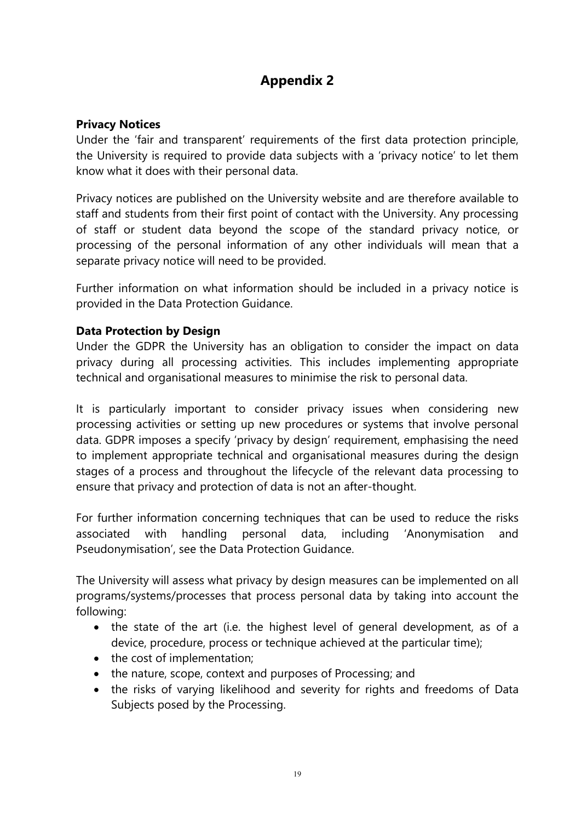# **Appendix 2**

#### **Privacy Notices**

Under the 'fair and transparent' requirements of the first data protection principle, the University is required to provide data subjects with a 'privacy notice' to let them know what it does with their personal data.

Privacy notices are published on the University website and are therefore available to staff and students from their first point of contact with the University. Any processing of staff or student data beyond the scope of the standard privacy notice, or processing of the personal information of any other individuals will mean that a separate privacy notice will need to be provided.

Further information on what information should be included in a privacy notice is provided in the Data Protection Guidance.

#### **Data Protection by Design**

Under the GDPR the University has an obligation to consider the impact on data privacy during all processing activities. This includes implementing appropriate technical and organisational measures to minimise the risk to personal data.

It is particularly important to consider privacy issues when considering new processing activities or setting up new procedures or systems that involve personal data. GDPR imposes a specify 'privacy by design' requirement, emphasising the need to implement appropriate technical and organisational measures during the design stages of a process and throughout the lifecycle of the relevant data processing to ensure that privacy and protection of data is not an after-thought.

For further information concerning techniques that can be used to reduce the risks associated with handling personal data, including 'Anonymisation and Pseudonymisation', see the Data Protection Guidance.

The University will assess what privacy by design measures can be implemented on all programs/systems/processes that process personal data by taking into account the following:

- the state of the art (i.e. the highest level of general development, as of a device, procedure, process or technique achieved at the particular time);
- the cost of implementation;
- the nature, scope, context and purposes of Processing; and
- the risks of varying likelihood and severity for rights and freedoms of Data Subjects posed by the Processing.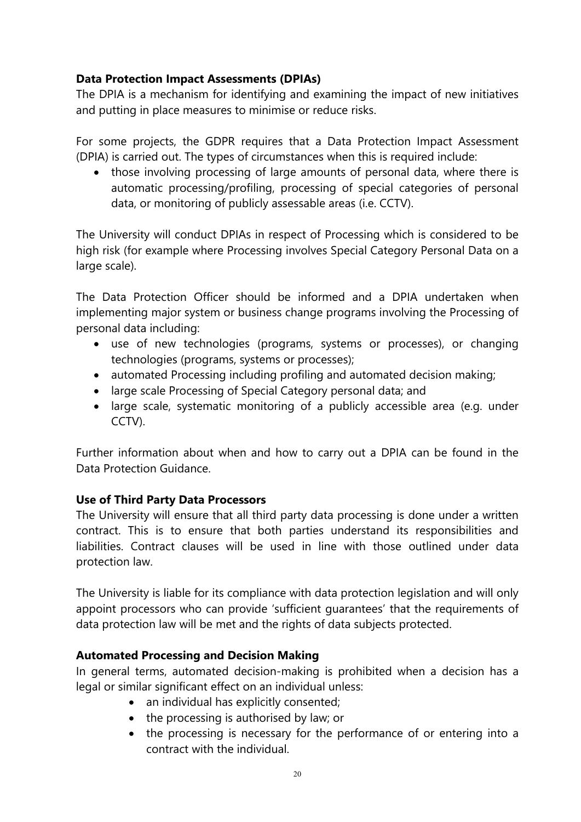#### **Data Protection Impact Assessments (DPIAs)**

The DPIA is a mechanism for identifying and examining the impact of new initiatives and putting in place measures to minimise or reduce risks.

For some projects, the GDPR requires that a Data Protection Impact Assessment (DPIA) is carried out. The types of circumstances when this is required include:

• those involving processing of large amounts of personal data, where there is automatic processing/profiling, processing of special categories of personal data, or monitoring of publicly assessable areas (i.e. CCTV).

The University will conduct DPIAs in respect of Processing which is considered to be high risk (for example where Processing involves Special Category Personal Data on a large scale).

The Data Protection Officer should be informed and a DPIA undertaken when implementing major system or business change programs involving the Processing of personal data including:

- use of new technologies (programs, systems or processes), or changing technologies (programs, systems or processes);
- automated Processing including profiling and automated decision making;
- large scale Processing of Special Category personal data; and
- large scale, systematic monitoring of a publicly accessible area (e.g. under CCTV).

Further information about when and how to carry out a DPIA can be found in the Data Protection Guidance.

#### **Use of Third Party Data Processors**

The University will ensure that all third party data processing is done under a written contract. This is to ensure that both parties understand its responsibilities and liabilities. Contract clauses will be used in line with those outlined under data protection law.

The University is liable for its compliance with data protection legislation and will only appoint processors who can provide 'sufficient guarantees' that the requirements of data protection law will be met and the rights of data subjects protected.

#### **Automated Processing and Decision Making**

In general terms, automated decision-making is prohibited when a decision has a legal or similar significant effect on an individual unless:

- an individual has explicitly consented;
- the processing is authorised by law; or
- the processing is necessary for the performance of or entering into a contract with the individual.